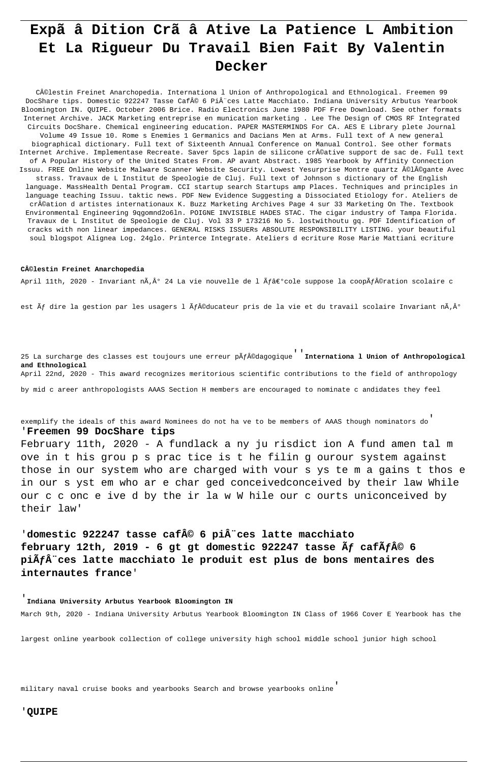# Expã â Dition Crã â Ative La Patience L Ambition Et La Rigueur Du Travail Bien Fait By Valentin Decker

C©lestin Freinet Anarchopedia. Internationa l Union of Anthropological and Ethnological. Freemen 99 DocShare tips. Domestic 922247 Tasse Caf© 6 Pi ces Latte Macchiato. Indiana University Arbutus Yearbook Bloomington IN. QUIPE. October 2006 Brice. Radio Electronics June 1980 PDF Free Download. See other formats Internet Archive. JACK Marketing entreprise en munication marketing . Lee The Design of CMOS RF Integrated Circuits DocShare. Chemical engineering education. PAPER MASTERMINDS For CA. AES E Library plete Journal Volume 49 Issue 10. Rome s Enemies 1 Germanics and Dacians Men at Arms. Full text of A new general biographical dictionary. Full text of Sixteenth Annual Conference on Manual Control. See other formats Internet Archive. Implementase Recreate. Saver 5pcs lapin de silicone crâ©ative support de sac de. Full text of A Popular History of the United States From. AP avant Abstract. 1985 Yearbook by Affinity Connection Issuu. FREE Online Website Malware Scanner Website Security. Lowest Yesurprise Montre quartz ©l©gante Avec strass. Travaux de L Institut de Speologie de Cluj. Full text of Johnson s dictionary of the English language. MassHealth Dental Program. CCI startup search Startups amp Places. Techniques and principles in language teaching Issuu. taktic news. PDF New Evidence Suggesting a Dissociated Etiology for. Ateliers de cr©ation d artistes internationaux K. Buzz Marketing Archives Page 4 sur 33 Marketing On The. Textbook Environmental Engineering 9qgomnd2o6ln. POIGNE INVISIBLE HADES STAC. The cigar industry of Tampa Florida. Travaux de L Institut de Speologie de Cluj. Vol 33 P 173216 No 5. lostwithoutu gq. PDF Identification of cracks with non linear impedances. GENERAL RISKS ISSUERs ABSOLUTE RESPONSIBILITY LISTING. your beautiful soul blogspot Alignea Log. 24glo. Printerce Integrate. Ateliers d ecriture Rose Marie Mattiani ecriture

#### C©lestin Freinet Anarchopedia

April 11th, 2020 - Invariant nÃ,º 24 La vie nouvelle de l Ãf›cole suppose la coopÃf©ration scolaire c

est Ãf dire la gestion par les usagers l Ãf©ducateur pris de la vie et du travail scolaire Invariant nÃ,º

25 La surcharge des classes est toujours une erreur pÃf©dagogique ' Internationa 1 Union of Anthropological and Ethnological April 22nd, 2020 - This award recognizes meritorious scientific contributions to the field of anthropology

by mid c areer anthropologists AAAS Section H members are encouraged to nominate c andidates they feel

exemplify the ideals of this award Nominees do not ha ve to be members of AAAS though nominators do 'Freemen 99 DocShare tips

February 11th, 2020 - A fundlack a ny ju risdict ion A fund amen tal m ove in t his grou p s prac tice is t he filin g ourour system against those in our system who are charged with vour s ys te m a gains t thos e in our s yst em who ar e char ged conceivedconceived by their law While our c c onc e ive d by the ir la w W hile our c ourts uniconceived by their law'

'domestic 922247 tasse caf© 6 pi ces latte macchiato february 12th, 2019 - 6 gt gt domestic 922247 tasse  $\tilde{A}f$  caf $\tilde{A}f\hat{A}\odot$  6 piÃf ces latte macchiato le produit est plus de bons mentaires des internautes france'

Indiana University Arbutus Yearbook Bloomington IN March 9th, 2020 - Indiana University Arbutus Yearbook Bloomington IN Class of 1966 Cover E Yearbook has the

largest online yearbook collection of college university high school middle school junior high school

military naval cruise books and yearbooks Search and browse yearbooks online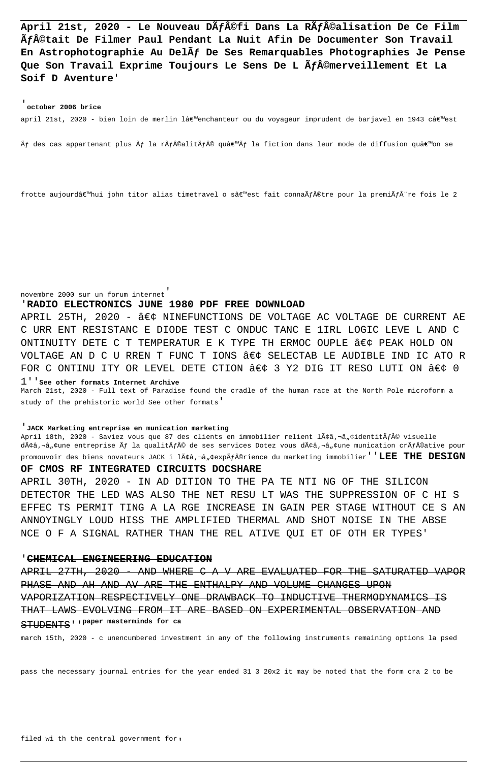April 21st, 2020 - Le Nouveau DÃ*f*©fi Dans La RÃ*f*©alisation De Ce Film  $\tilde{A}f\hat{A}$ ©tait De Filmer Paul Pendant La Nuit Afin De Documenter Son Travail En Astrophotographie Au DelÃf De Ses Remarquables Photographies Je Pense Que Son Travail Exprime Toujours Le Sens De L Ã*f*©merveillement Et La **Soif D Aventure**'

# '**october 2006 brice**

april 21st, 2020 - bien loin de merlin l'enchanteur ou du voyageur imprudent de barjavel en 1943 c'est

 $\tilde{A}f$  des cas appartenant plus  $\tilde{A}f$  la r $\tilde{A}f\hat{A}\otimes$  duite  $\tilde{A}f\hat{A}\otimes$  quâ $\tilde{A}f$  la fiction dans leur mode de diffusion quâ $\infty$ mon se

frotte aujourd'hui john titor alias timetravel o s'est fait connaÃf®tre pour la premiÃfÂ"re fois le 2

novembre 2000 sur un forum internet'

#### '**RADIO ELECTRONICS JUNE 1980 PDF FREE DOWNLOAD**

APRIL 25TH, 2020 -  $\hat{a}\in\zeta$  NINEFUNCTIONS DE VOLTAGE AC VOLTAGE DE CURRENT AE C URR ENT RESISTANC E DIODE TEST C ONDUC TANC E 1IRL LOGIC LEVE L AND C ONTINUITY DETE C T TEMPERATUR E K TYPE TH ERMOC OUPLE  $\hat{a}\in\zeta$  peak hold on VOLTAGE AN D C U RREN T FUNC T IONS  $\hat{a}\in\zeta$  SELECTAB LE AUDIBLE IND IC ATO R FOR C ONTINU ITY OR LEVEL DETE CTION  $\hat{a}\in\zeta$  3 Y2 DIG IT RESO LUTI ON  $\hat{a}\in\zeta$  0

#### 1''**See other formats Internet Archive**

March 21st, 2020 - Full text of Paradise found the cradle of the human race at the North Pole microform a study of the prehistoric world See other formats'

# '**JACK Marketing entreprise en munication marketing**

April 18th, 2020 - Saviez vous que 87 des clients en immobilier relient lââ,-â"¢identitÃf© visuelle dââ,¬â"¢une entreprise Ãf la qualitÃf© de ses services Dotez vous dââ,¬â"¢une munication crÃf©ative pour promouvoir des biens novateurs JACK i lââ,¬â"¢expÃf©rience du marketing immobilier''**LEE THE DESIGN** 

# **OF CMOS RF INTEGRATED CIRCUITS DOCSHARE**

APRIL 30TH, 2020 - IN AD DITION TO THE PA TE NTI NG OF THE SILICON DETECTOR THE LED WAS ALSO THE NET RESU LT WAS THE SUPPRESSION OF C HI S EFFEC TS PERMIT TING A LA RGE INCREASE IN GAIN PER STAGE WITHOUT CE S AN ANNOYINGLY LOUD HISS THE AMPLIFIED THERMAL AND SHOT NOISE IN THE ABSE NCE O F A SIGNAL RATHER THAN THE REL ATIVE QUI ET OF OTH ER TYPES'

#### '**CHEMICAL ENGINEERING EDUCATION**

APRIL 27TH, 2020 - AND WHERE C A V ARE EVALUATED FOR THE SATURATED VAPOR PHASE AND AH AND AV ARE THE ENTHALPY AND VOLUME CHANGES UPON VAPORIZATION RESPECTIVELY ONE DRAWBACK TO INDUCTIVE THERMODYNAMICS IS THAT LAWS EVOLVING FROM IT ARE BASED ON EXPERIMENTAL OBSERVATION AND STUDENTS''**paper masterminds for ca**

march 15th, 2020 - c unencumbered investment in any of the following instruments remaining options la psed

pass the necessary journal entries for the year ended 31 3 20x2 it may be noted that the form cra 2 to be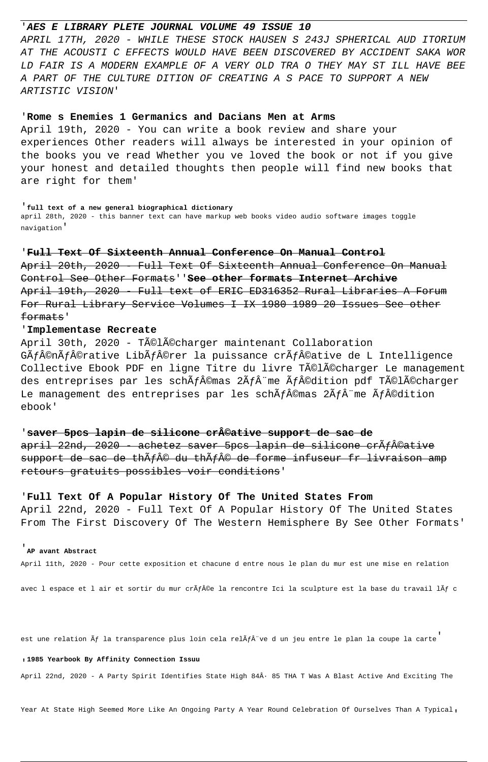#### '**AES E LIBRARY PLETE JOURNAL VOLUME 49 ISSUE 10**

APRIL 17TH, 2020 - WHILE THESE STOCK HAUSEN S 243J SPHERICAL AUD ITORIUM AT THE ACOUSTI C EFFECTS WOULD HAVE BEEN DISCOVERED BY ACCIDENT SAKA WOR LD FAIR IS A MODERN EXAMPLE OF A VERY OLD TRA O THEY MAY ST ILL HAVE BEE A PART OF THE CULTURE DITION OF CREATING A S PACE TO SUPPORT A NEW ARTISTIC VISION'

# '**Rome s Enemies 1 Germanics and Dacians Men at Arms**

April 19th, 2020 - You can write a book review and share your experiences Other readers will always be interested in your opinion of the books you ve read Whether you ve loved the book or not if you give your honest and detailed thoughts then people will find new books that are right for them'

#### '**full text of a new general biographical dictionary**

april 28th, 2020 - this banner text can have markup web books video audio software images toggle navigation'

#### '**Full Text Of Sixteenth Annual Conference On Manual Control**

April 20th, 2020 - Full Text Of Sixteenth Annual Conference On Manual Control See Other Formats''**See other formats Internet Archive** April 19th, 2020 - Full text of ERIC ED316352 Rural Libraries A Forum For Rural Library Service Volumes I IX 1980 1989 20 Issues See other formats'

# '**Implementase Recreate**

April 30th, 2020 - Télécharger maintenant Collaboration GÃ $f$ ©nÃ $f$ ©rative LibÃ $f$ ©rer la puissance crÃ $f$ ©ative de L Intelligence Collective Ebook PDF en ligne Titre du livre Télécharger Le management des entreprises par les sch $\tilde{A}f\hat{A}$ Cmas  $2\tilde{A}f\hat{A}$ "me  $\tilde{A}f\hat{A}$ Codition pdf T $\tilde{A}$ Ol $\tilde{A}$ Ocharger Le management des entreprises par les sch $A$ fâ $@$ mas 2 $A$ fâ $@$ me  $A$ fâ $@$ dition ebook'

#### 'saver 5pcs lapin de silicone cr©ative support de sac de

april 22nd, 2020 - achetez saver 5pcs lapin de silicone crÃf©ative support de sac de thÃf© du thÃf© de forme infuseur fr livraison amp retours gratuits possibles voir conditions'

#### '**Full Text Of A Popular History Of The United States From**

April 22nd, 2020 - Full Text Of A Popular History Of The United States From The First Discovery Of The Western Hemisphere By See Other Formats'

# '**AP avant Abstract**

April 11th, 2020 - Pour cette exposition et chacune d entre nous le plan du mur est une mise en relation

avec l espace et l air et sortir du mur cr $\tilde{A}f\hat{A}$ ©e la rencontre Ici la sculpture est la base du travail l $\tilde{A}f$  c

est une relation  $\tilde{A}f$  la transparence plus loin cela rel $\tilde{A}f\hat{A}$ "ve d un jeu entre le plan la coupe la carte

#### '**1985 Yearbook By Affinity Connection Issuu**

April 22nd, 2020 - A Party Spirit Identifies State High 84· 85 THA T Was A Blast Active And Exciting The

Year At State High Seemed More Like An Ongoing Party A Year Round Celebration Of Ourselves Than A Typical,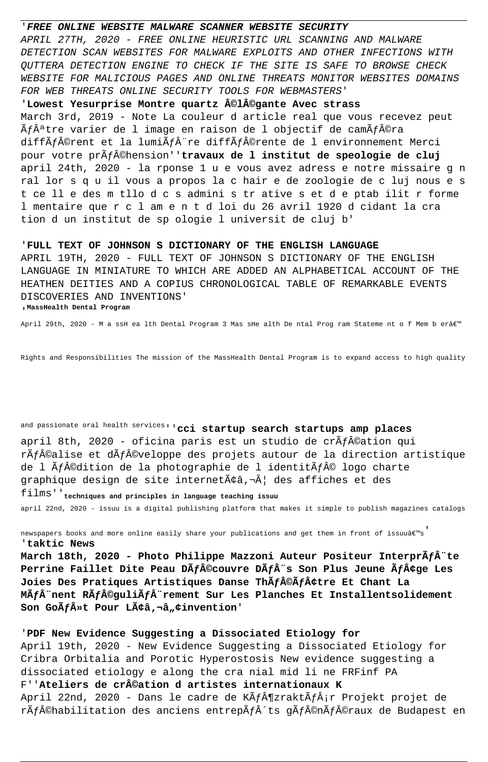# '**FREE ONLINE WEBSITE MALWARE SCANNER WEBSITE SECURITY** APRIL 27TH, 2020 - FREE ONLINE HEURISTIC URL SCANNING AND MALWARE DETECTION SCAN WEBSITES FOR MALWARE EXPLOITS AND OTHER INFECTIONS WITH QUTTERA DETECTION ENGINE TO CHECK IF THE SITE IS SAFE TO BROWSE CHECK WEBSITE FOR MALICIOUS PAGES AND ONLINE THREATS MONITOR WEBSITES DOMAINS FOR WEB THREATS ONLINE SECURITY TOOLS FOR WEBMASTERS' '**Lowest Yesurprise Montre quartz ©l©gante Avec strass** March 3rd, 2019 - Note La couleur d article real que vous recevez peut  $\tilde{A}f\hat{A}$ <sup>a</sup>tre varier de l image en raison de l objectif de cam $\tilde{A}f\hat{A}$ ©ra diff $\tilde{A}$ fâ©rent et la lumi $\tilde{A}$ fâ $\tilde{A}$ "re diff $\tilde{A}$ fâ©rente de l environnement Merci pour votre pr $\tilde{A}f\hat{A}$ Chension''**travaux de l institut de speologie de cluj** april 24th, 2020 - la rponse 1 u e vous avez adress e notre missaire g n ral lor s q u il vous a propos la c hair e de zoologie de c luj nous e s t ce ll e des m tllo d c s admini s tr ative s et d e ptab ilit r forme l mentaire que r c l am e n t d loi du 26 avril 1920 d cidant la cra

'**FULL TEXT OF JOHNSON S DICTIONARY OF THE ENGLISH LANGUAGE** APRIL 19TH, 2020 - FULL TEXT OF JOHNSON S DICTIONARY OF THE ENGLISH LANGUAGE IN MINIATURE TO WHICH ARE ADDED AN ALPHABETICAL ACCOUNT OF THE HEATHEN DEITIES AND A COPIUS CHRONOLOGICAL TABLE OF REMARKABLE EVENTS DISCOVERIES AND INVENTIONS' '**MassHealth Dental Program**

tion d un institut de sp ologie l universit de cluj b'

April 29th, 2020 - M a ssH ea lth Dental Program 3 Mas sHe alth De ntal Prog ram Stateme nt off Mem b erâ€<sup>m</sup>

Rights and Responsibilities The mission of the MassHealth Dental Program is to expand access to high quality

# and passionate oral health services''**cci startup search startups amp places**

april 8th, 2020 - oficina paris est un studio de cr $A$ fâ©ation qui rÃ $f$ ©alise et dÃ $f$ ©veloppe des projets autour de la direction artistique de l  $\tilde{A}f\hat{A}$ ©dition de la photographie de l identit $\tilde{A}f\hat{A}$ © logo charte graphique design de site internetââ,¬Â| des affiches et des

films''**techniques and principles in language teaching issuu**

april 22nd, 2020 - issuu is a digital publishing platform that makes it simple to publish magazines catalogs

newspapers books and more online easily share your publications and get them in front of issuuâ€<sup>™</sup>s '**taktic News**

March 18th, 2020 - Photo Philippe Mazzoni Auteur Positeur Interpr $\tilde{A}f\hat{A}$ "te Perrine Faillet Dite Peau DÃf©couvre DÃfÂ"s Son Plus Jeune Ãf¢ge Les Joies Des Pratiques Artistiques Danse ThÃ*f*©Ã*f*¢tre Et Chant La MÃf nent RÃf©guliÃf rement Sur Les Planches Et Installentsolidement Son Go $\tilde{A}f\hat{A}$ <sup>\*</sup>t Pour L $\tilde{A}\zeta\hat{a}$ ,  $\neg \hat{a}$ ,  $\zeta$  invention'

'**PDF New Evidence Suggesting a Dissociated Etiology for** April 19th, 2020 - New Evidence Suggesting a Dissociated Etiology for Cribra Orbitalia and Porotic Hyperostosis New evidence suggesting a dissociated etiology e along the cra nial mid li ne FRFinf PA F''**Ateliers de cr©ation d artistes internationaux K** April 22nd, 2020 - Dans le cadre de KÃf¶zraktÃfÂ;r Projekt projet de rÃ $f$ ©habilitation des anciens entrepÃ $f$ ´ts gÃ $f$ ©nÃ $f$ ©raux de Budapest en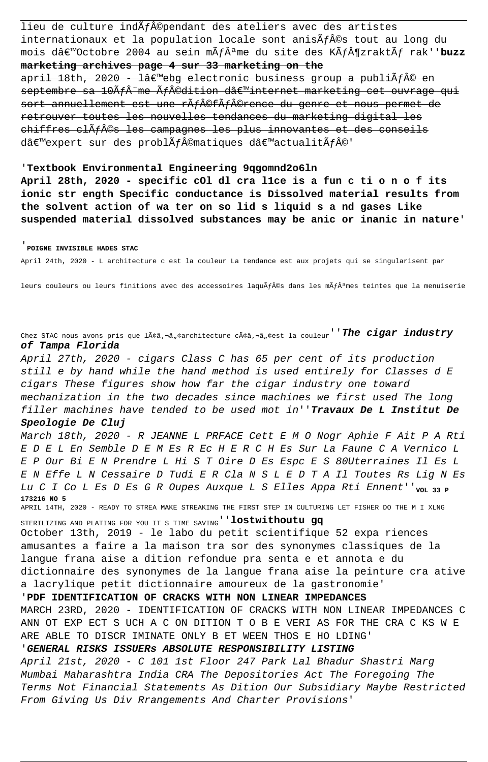lieu de culture indÃf©pendant des ateliers avec des artistes internationaux et la population locale sont anis $A$ fâ©s tout au long du mois dâ€<sup>m</sup>Octobre 2004 au sein mÃfªme du site des KÃf¶zraktÃf rak''buzz **marketing archives page 4 sur 33 marketing on the**

april 18th, 2020 - lâ $\varepsilon$ mebg electronic business group a publiÃf© en septembre sa 10ÅfÂ"me Åf©dition d'internet marketing cet ouvrage qui sort annuellement est une r $\tilde{A}f\hat{A}\Theta f\hat{A}f\hat{A}\Theta r$ ence du genre et nous permet de retrouver toutes les nouvelles tendances du marketing digital les chiffres clÃf©s les campagnes les plus innovantes et des conseils d'expert sur des problÃf©matiques d'actualitÃf©'

#### '**Textbook Environmental Engineering 9qgomnd2o6ln**

**April 28th, 2020 - specific cOl dl cra l1ce is a fun c ti o n o f its ionic str ength Specific conductance is Dissolved material results from the solvent action of wa ter on so lid s liquid s a nd gases Like suspended material dissolved substances may be anic or inanic in nature**'

#### '**POIGNE INVISIBLE HADES STAC**

April 24th, 2020 - L architecture c est la couleur La tendance est aux projets qui se singularisent par

leurs couleurs ou leurs finitions avec des accessoires laquÃf©s dans les mÃfªmes teintes que la menuiserie

Chez STAC nous avons pris que lââ,¬â"¢architecture cââ,¬â"¢est la couleur<sup>''</sup>**The** *cigar industry* **of Tampa Florida**

April 27th, 2020 - cigars Class C has 65 per cent of its production still e by hand while the hand method is used entirely for Classes d E cigars These figures show how far the cigar industry one toward mechanization in the two decades since machines we first used The long filler machines have tended to be used mot in''**Travaux De L Institut De Speologie De Cluj**

# March 18th, 2020 - R JEANNE L PRFACE Cett E M O Nogr Aphie F Ait P A Rti E D E L En Semble D E M Es R Ec H E R C H Es Sur La Faune C A Vernico L E P Our Bi E N Prendre L Hi S T Oire D Es Espc E S 80Uterraines Il Es L E N Effe L N Cessaire D Tudi E R Cla N S L E D T A Il Toutes Rs Lig N Es Lu C I Co L Es D Es G R Oupes Auxque L S Elles Appa Rti Ennent''<sub>VOL 33 P</sub> **173216 NO 5**

APRIL 14TH, 2020 - READY TO STREA MAKE STREAKING THE FIRST STEP IN CULTURING LET FISHER DO THE M I XLNG STERILIZING AND PLATING FOR YOU IT S TIME SAVING''**lostwithoutu gq**

October 13th, 2019 - le labo du petit scientifique 52 expa riences amusantes a faire a la maison tra sor des synonymes classiques de la langue frana aise a dition refondue pra senta e et annota e du dictionnaire des synonymes de la langue frana aise la peinture cra ative a lacrylique petit dictionnaire amoureux de la gastronomie'

'**PDF IDENTIFICATION OF CRACKS WITH NON LINEAR IMPEDANCES** MARCH 23RD, 2020 - IDENTIFICATION OF CRACKS WITH NON LINEAR IMPEDANCES C ANN OT EXP ECT S UCH A C ON DITION T O B E VERI AS FOR THE CRA C KS W E ARE ABLE TO DISCR IMINATE ONLY B ET WEEN THOS E HO LDING'

# '**GENERAL RISKS ISSUERs ABSOLUTE RESPONSIBILITY LISTING**

April 21st, 2020 - C 101 1st Floor 247 Park Lal Bhadur Shastri Marg Mumbai Maharashtra India CRA The Depositories Act The Foregoing The Terms Not Financial Statements As Dition Our Subsidiary Maybe Restricted From Giving Us Div Rrangements And Charter Provisions'